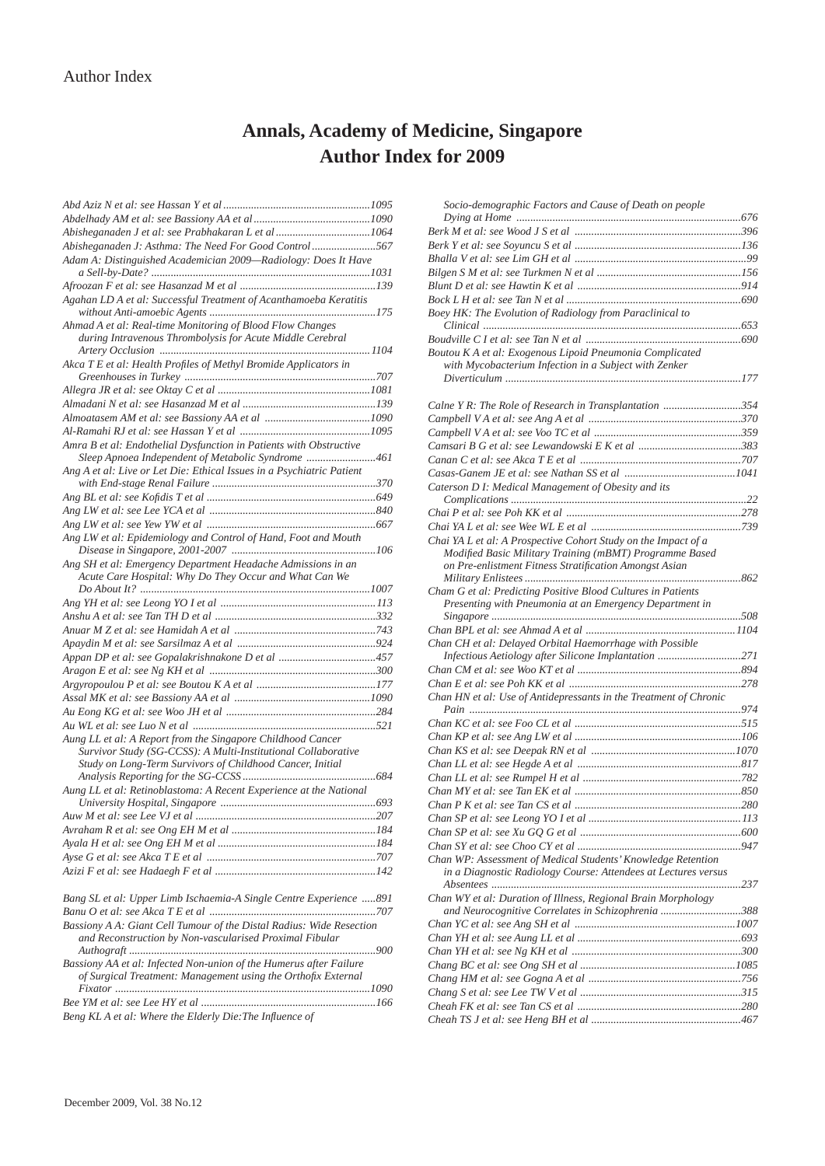## **Annals, Academy of Medicine, Singapore Author Index for 2009**

| Abisheganaden J: Asthma: The Need For Good Control567                                                                               |  |
|-------------------------------------------------------------------------------------------------------------------------------------|--|
| Adam A: Distinguished Academician 2009-Radiology: Does It Have                                                                      |  |
|                                                                                                                                     |  |
| Agahan LD A et al: Successful Treatment of Acanthamoeba Keratitis                                                                   |  |
| Ahmad A et al: Real-time Monitoring of Blood Flow Changes                                                                           |  |
| during Intravenous Thrombolysis for Acute Middle Cerebral                                                                           |  |
| Akca T E et al: Health Profiles of Methyl Bromide Applicators in                                                                    |  |
|                                                                                                                                     |  |
|                                                                                                                                     |  |
|                                                                                                                                     |  |
|                                                                                                                                     |  |
|                                                                                                                                     |  |
| Amra B et al: Endothelial Dysfunction in Patients with Obstructive                                                                  |  |
| Sleep Apnoea Independent of Metabolic Syndrome 461                                                                                  |  |
| Ang A et al: Live or Let Die: Ethical Issues in a Psychiatric Patient                                                               |  |
|                                                                                                                                     |  |
|                                                                                                                                     |  |
|                                                                                                                                     |  |
|                                                                                                                                     |  |
| Ang LW et al: Epidemiology and Control of Hand, Foot and Mouth                                                                      |  |
| Ang SH et al: Emergency Department Headache Admissions in an                                                                        |  |
| Acute Care Hospital: Why Do They Occur and What Can We                                                                              |  |
|                                                                                                                                     |  |
|                                                                                                                                     |  |
|                                                                                                                                     |  |
|                                                                                                                                     |  |
|                                                                                                                                     |  |
|                                                                                                                                     |  |
|                                                                                                                                     |  |
|                                                                                                                                     |  |
|                                                                                                                                     |  |
|                                                                                                                                     |  |
| Aung LL et al: A Report from the Singapore Childhood Cancer                                                                         |  |
| Survivor Study (SG-CCSS): A Multi-Institutional Collaborative                                                                       |  |
| Study on Long-Term Survivors of Childhood Cancer, Initial                                                                           |  |
|                                                                                                                                     |  |
| Aung LL et al: Retinoblastoma: A Recent Experience at the National                                                                  |  |
|                                                                                                                                     |  |
|                                                                                                                                     |  |
|                                                                                                                                     |  |
|                                                                                                                                     |  |
|                                                                                                                                     |  |
| Bang SL et al: Upper Limb Ischaemia-A Single Centre Experience 891                                                                  |  |
|                                                                                                                                     |  |
| Bassiony A A: Giant Cell Tumour of the Distal Radius: Wide Resection<br>and Reconstruction by Non-vascularised Proximal Fibular     |  |
|                                                                                                                                     |  |
| Bassiony AA et al: Infected Non-union of the Humerus after Failure<br>of Surgical Treatment: Management using the Orthofix External |  |
|                                                                                                                                     |  |
|                                                                                                                                     |  |
| <b>Dona VI</b> A at al. Whom the Elderhy Dia: The Influence of                                                                      |  |

*Beng KLA et al: Where the Elderly Die: The Influence of* 

| Socio-demographic Factors and Cause of Death on people                                                                         |  |
|--------------------------------------------------------------------------------------------------------------------------------|--|
|                                                                                                                                |  |
|                                                                                                                                |  |
|                                                                                                                                |  |
|                                                                                                                                |  |
|                                                                                                                                |  |
|                                                                                                                                |  |
| Boey HK: The Evolution of Radiology from Paraclinical to                                                                       |  |
|                                                                                                                                |  |
| Boutou KA et al: Exogenous Lipoid Pneumonia Complicated<br>with Mycobacterium Infection in a Subject with Zenker               |  |
| Calne Y R: The Role of Research in Transplantation 354                                                                         |  |
|                                                                                                                                |  |
|                                                                                                                                |  |
|                                                                                                                                |  |
|                                                                                                                                |  |
|                                                                                                                                |  |
| Caterson D I: Medical Management of Obesity and its                                                                            |  |
|                                                                                                                                |  |
|                                                                                                                                |  |
| Chai YA L et al: A Prospective Cohort Study on the Impact of a<br>Modified Basic Military Training (mBMT) Programme Based      |  |
| on Pre-enlistment Fitness Stratification Amongst Asian                                                                         |  |
| Cham G et al: Predicting Positive Blood Cultures in Patients                                                                   |  |
| Presenting with Pneumonia at an Emergency Department in                                                                        |  |
|                                                                                                                                |  |
|                                                                                                                                |  |
| Chan CH et al: Delayed Orbital Haemorrhage with Possible                                                                       |  |
| Infectious Aetiology after Silicone Implantation 271                                                                           |  |
|                                                                                                                                |  |
| Chan HN et al: Use of Antidepressants in the Treatment of Chronic                                                              |  |
|                                                                                                                                |  |
|                                                                                                                                |  |
|                                                                                                                                |  |
|                                                                                                                                |  |
|                                                                                                                                |  |
|                                                                                                                                |  |
|                                                                                                                                |  |
|                                                                                                                                |  |
|                                                                                                                                |  |
|                                                                                                                                |  |
|                                                                                                                                |  |
| Chan WP: Assessment of Medical Students' Knowledge Retention<br>in a Diagnostic Radiology Course: Attendees at Lectures versus |  |
|                                                                                                                                |  |
| Chan WY et al: Duration of Illness, Regional Brain Morphology<br>and Neurocognitive Correlates in Schizophrenia 388            |  |
|                                                                                                                                |  |
|                                                                                                                                |  |
|                                                                                                                                |  |
|                                                                                                                                |  |
|                                                                                                                                |  |
|                                                                                                                                |  |
|                                                                                                                                |  |
|                                                                                                                                |  |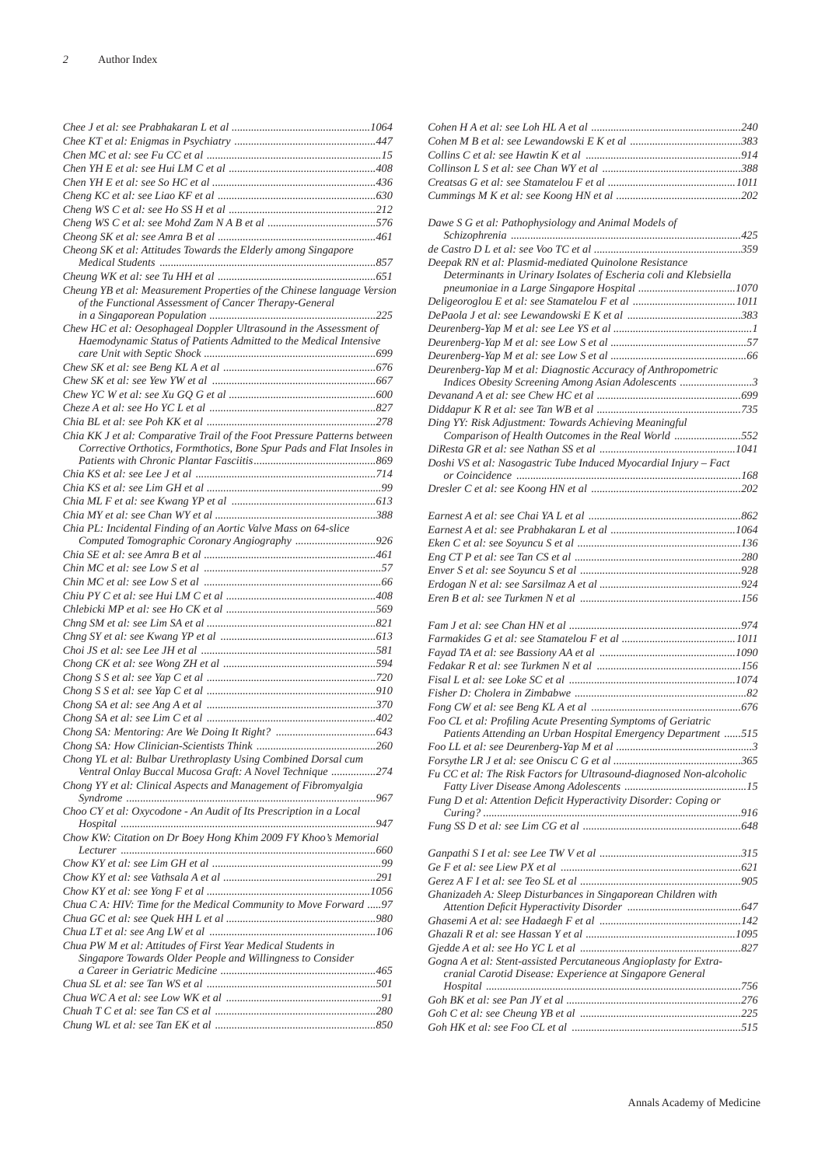| Cheong SK et al: Attitudes Towards the Elderly among Singapore                                                                    |
|-----------------------------------------------------------------------------------------------------------------------------------|
|                                                                                                                                   |
|                                                                                                                                   |
| Cheung YB et al: Measurement Properties of the Chinese language Version<br>of the Functional Assessment of Cancer Therapy-General |
|                                                                                                                                   |
| Chew HC et al: Oesophageal Doppler Ultrasound in the Assessment of                                                                |
| Haemodynamic Status of Patients Admitted to the Medical Intensive                                                                 |
|                                                                                                                                   |
|                                                                                                                                   |
|                                                                                                                                   |
|                                                                                                                                   |
|                                                                                                                                   |
| Chia KK J et al: Comparative Trail of the Foot Pressure Patterns between                                                          |
| Corrective Orthotics, Formthotics, Bone Spur Pads and Flat Insoles in                                                             |
|                                                                                                                                   |
|                                                                                                                                   |
|                                                                                                                                   |
|                                                                                                                                   |
| Chia PL: Incidental Finding of an Aortic Valve Mass on 64-slice                                                                   |
|                                                                                                                                   |
|                                                                                                                                   |
|                                                                                                                                   |
|                                                                                                                                   |
|                                                                                                                                   |
|                                                                                                                                   |
|                                                                                                                                   |
|                                                                                                                                   |
|                                                                                                                                   |
|                                                                                                                                   |
|                                                                                                                                   |
|                                                                                                                                   |
|                                                                                                                                   |
|                                                                                                                                   |
| Chong YL et al: Bulbar Urethroplasty Using Combined Dorsal cum                                                                    |
| Ventral Onlay Buccal Mucosa Graft: A Novel Technique 274                                                                          |
| Chong YY et al: Clinical Aspects and Management of Fibromyalgia                                                                   |
| Choo CY et al: Oxycodone - An Audit of Its Prescription in a Local                                                                |
|                                                                                                                                   |
| Chow KW: Citation on Dr Boey Hong Khim 2009 FY Khoo's Memorial                                                                    |
|                                                                                                                                   |
|                                                                                                                                   |
|                                                                                                                                   |
|                                                                                                                                   |
| Chua C A: HIV: Time for the Medical Community to Move Forward 97                                                                  |
|                                                                                                                                   |
| Chua PW M et al: Attitudes of First Year Medical Students in                                                                      |
| Singapore Towards Older People and Willingness to Consider                                                                        |
|                                                                                                                                   |
|                                                                                                                                   |
|                                                                                                                                   |
|                                                                                                                                   |
|                                                                                                                                   |

| Dawe S G et al: Pathophysiology and Animal Models of                                                                          |  |
|-------------------------------------------------------------------------------------------------------------------------------|--|
|                                                                                                                               |  |
|                                                                                                                               |  |
| Deepak RN et al: Plasmid-mediated Quinolone Resistance<br>Determinants in Urinary Isolates of Escheria coli and Klebsiella    |  |
|                                                                                                                               |  |
|                                                                                                                               |  |
|                                                                                                                               |  |
|                                                                                                                               |  |
|                                                                                                                               |  |
| Deurenberg-Yap M et al: Diagnostic Accuracy of Anthropometric                                                                 |  |
|                                                                                                                               |  |
|                                                                                                                               |  |
|                                                                                                                               |  |
| Ding YY: Risk Adjustment: Towards Achieving Meaningful                                                                        |  |
| Comparison of Health Outcomes in the Real World 552                                                                           |  |
|                                                                                                                               |  |
| Doshi VS et al: Nasogastric Tube Induced Myocardial Injury - Fact                                                             |  |
|                                                                                                                               |  |
|                                                                                                                               |  |
|                                                                                                                               |  |
|                                                                                                                               |  |
|                                                                                                                               |  |
|                                                                                                                               |  |
|                                                                                                                               |  |
|                                                                                                                               |  |
|                                                                                                                               |  |
|                                                                                                                               |  |
|                                                                                                                               |  |
|                                                                                                                               |  |
|                                                                                                                               |  |
|                                                                                                                               |  |
|                                                                                                                               |  |
|                                                                                                                               |  |
|                                                                                                                               |  |
|                                                                                                                               |  |
|                                                                                                                               |  |
| Foo CL et al: Profiling Acute Presenting Symptoms of Geriatric                                                                |  |
| Patients Attending an Urban Hospital Emergency Department 515                                                                 |  |
|                                                                                                                               |  |
|                                                                                                                               |  |
| Fu CC et al: The Risk Factors for Ultrasound-diagnosed Non-alcoholic                                                          |  |
|                                                                                                                               |  |
| Fung D et al: Attention Deficit Hyperactivity Disorder: Coping or                                                             |  |
|                                                                                                                               |  |
|                                                                                                                               |  |
|                                                                                                                               |  |
|                                                                                                                               |  |
|                                                                                                                               |  |
|                                                                                                                               |  |
| Ghanizadeh A: Sleep Disturbances in Singaporean Children with                                                                 |  |
|                                                                                                                               |  |
|                                                                                                                               |  |
|                                                                                                                               |  |
|                                                                                                                               |  |
| Gogna A et al: Stent-assisted Percutaneous Angioplasty for Extra-<br>cranial Carotid Disease: Experience at Singapore General |  |
|                                                                                                                               |  |
|                                                                                                                               |  |
|                                                                                                                               |  |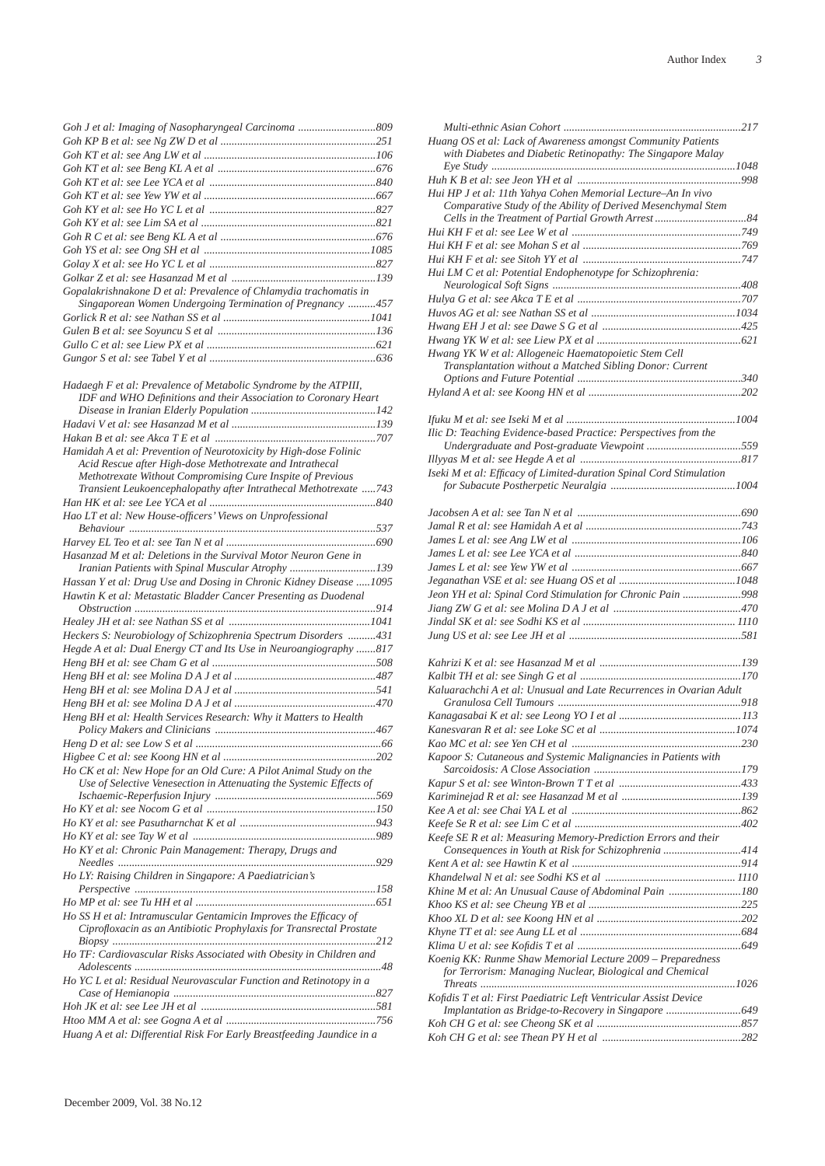| Gopalakrishnakone D et al: Prevalence of Chlamydia trachomatis in |  |
|-------------------------------------------------------------------|--|
| Singaporean Women Undergoing Termination of Pregnancy 457         |  |
|                                                                   |  |
|                                                                   |  |

*Gullo C et al: see Liew PX et al .............................................................621 Gungor S et al: see Tabel Y et al ............................................................636*

| Hadaegh F et al: Prevalence of Metabolic Syndrome by the ATPIII,       |  |
|------------------------------------------------------------------------|--|
| IDF and WHO Definitions and their Association to Coronary Heart        |  |
|                                                                        |  |
|                                                                        |  |
|                                                                        |  |
| Hamidah A et al: Prevention of Neurotoxicity by High-dose Folinic      |  |
| Acid Rescue after High-dose Methotrexate and Intrathecal               |  |
| Methotrexate Without Compromising Cure Inspite of Previous             |  |
| Transient Leukoencephalopathy after Intrathecal Methotrexate 743       |  |
|                                                                        |  |
| Hao LT et al: New House-officers' Views on Unprofessional              |  |
|                                                                        |  |
|                                                                        |  |
| Hasanzad M et al: Deletions in the Survival Motor Neuron Gene in       |  |
| Iranian Patients with Spinal Muscular Atrophy 139                      |  |
| Hassan Y et al: Drug Use and Dosing in Chronic Kidney Disease  1095    |  |
| Hawtin K et al: Metastatic Bladder Cancer Presenting as Duodenal       |  |
|                                                                        |  |
|                                                                        |  |
| Heckers S: Neurobiology of Schizophrenia Spectrum Disorders 431        |  |
| Hegde A et al: Dual Energy CT and Its Use in Neuroangiography 817      |  |
|                                                                        |  |
|                                                                        |  |
|                                                                        |  |
|                                                                        |  |
|                                                                        |  |
| Heng BH et al: Health Services Research: Why it Matters to Health      |  |
|                                                                        |  |
|                                                                        |  |
|                                                                        |  |
| Ho CK et al: New Hope for an Old Cure: A Pilot Animal Study on the     |  |
| Use of Selective Venesection in Attenuating the Systemic Effects of    |  |
|                                                                        |  |
|                                                                        |  |
|                                                                        |  |
|                                                                        |  |
| Ho KY et al: Chronic Pain Management: Therapy, Drugs and               |  |
|                                                                        |  |
| Ho LY: Raising Children in Singapore: A Paediatrician's                |  |
|                                                                        |  |
|                                                                        |  |
| Ho SS H et al: Intramuscular Gentamicin Improves the Efficacy of       |  |
| Ciprofloxacin as an Antibiotic Prophylaxis for Transrectal Prostate    |  |
|                                                                        |  |
| Ho TF: Cardiovascular Risks Associated with Obesity in Children and    |  |
|                                                                        |  |
| Ho YC L et al: Residual Neurovascular Function and Retinotopy in a     |  |
|                                                                        |  |
|                                                                        |  |
|                                                                        |  |
|                                                                        |  |
| Huang A et al: Differential Risk For Early Breastfeeding Jaundice in a |  |

| Huang OS et al: Lack of Awareness amongst Community Patients        |  |
|---------------------------------------------------------------------|--|
| with Diabetes and Diabetic Retinopathy: The Singapore Malay         |  |
|                                                                     |  |
| Hui HP J et al: 11th Yahya Cohen Memorial Lecture-An In vivo        |  |
| Comparative Study of the Ability of Derived Mesenchymal Stem        |  |
|                                                                     |  |
|                                                                     |  |
|                                                                     |  |
|                                                                     |  |
| Hui LM C et al: Potential Endophenotype for Schizophrenia:          |  |
|                                                                     |  |
|                                                                     |  |
|                                                                     |  |
|                                                                     |  |
| Hwang YK W et al: Allogeneic Haematopoietic Stem Cell               |  |
| Transplantation without a Matched Sibling Donor: Current            |  |
|                                                                     |  |
|                                                                     |  |
|                                                                     |  |
|                                                                     |  |
| Ilic D: Teaching Evidence-based Practice: Perspectives from the     |  |
|                                                                     |  |
| Iseki M et al: Efficacy of Limited-duration Spinal Cord Stimulation |  |
|                                                                     |  |
|                                                                     |  |
|                                                                     |  |
|                                                                     |  |
|                                                                     |  |
|                                                                     |  |
|                                                                     |  |
|                                                                     |  |
| Jeon YH et al: Spinal Cord Stimulation for Chronic Pain 998         |  |
|                                                                     |  |
|                                                                     |  |
|                                                                     |  |
|                                                                     |  |
|                                                                     |  |
| Kaluarachchi A et al: Unusual and Late Recurrences in Ovarian Adult |  |
|                                                                     |  |
|                                                                     |  |
|                                                                     |  |
|                                                                     |  |
| Kapoor S: Cutaneous and Systemic Malignancies in Patients with      |  |
|                                                                     |  |
|                                                                     |  |
|                                                                     |  |
|                                                                     |  |
| Keefe SE R et al: Measuring Memory-Prediction Errors and their      |  |
| Consequences in Youth at Risk for Schizophrenia 414                 |  |
|                                                                     |  |
|                                                                     |  |
| Khine M et al: An Unusual Cause of Abdominal Pain 180               |  |
|                                                                     |  |
|                                                                     |  |
|                                                                     |  |
| Koenig KK: Runme Shaw Memorial Lecture 2009 - Preparedness          |  |
| for Terrorism: Managing Nuclear, Biological and Chemical            |  |
|                                                                     |  |
| Kofidis T et al: First Paediatric Left Ventricular Assist Device    |  |
| Implantation as Bridge-to-Recovery in Singapore  649                |  |
|                                                                     |  |
|                                                                     |  |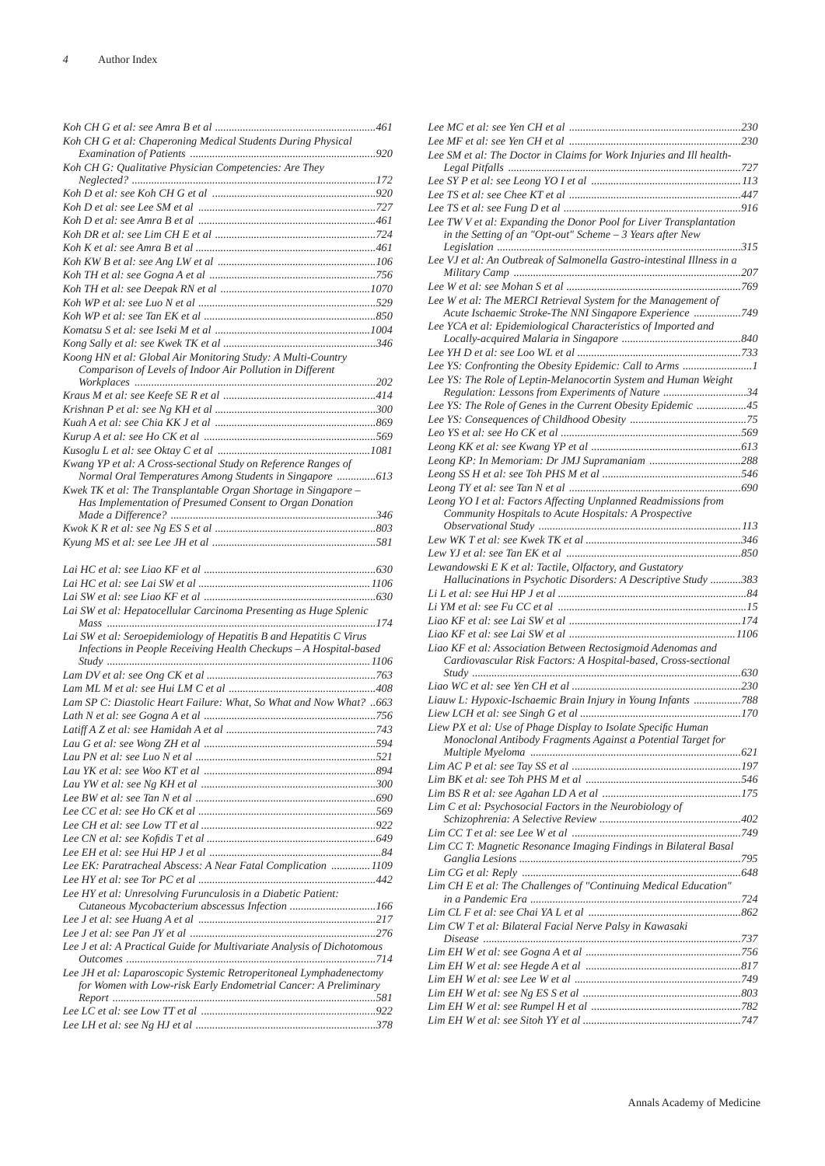| Koh CH G et al: Chaperoning Medical Students During Physical            |  |
|-------------------------------------------------------------------------|--|
|                                                                         |  |
| Koh CH G: Qualitative Physician Competencies: Are They                  |  |
|                                                                         |  |
|                                                                         |  |
|                                                                         |  |
|                                                                         |  |
|                                                                         |  |
|                                                                         |  |
|                                                                         |  |
|                                                                         |  |
|                                                                         |  |
|                                                                         |  |
|                                                                         |  |
|                                                                         |  |
|                                                                         |  |
| Koong HN et al: Global Air Monitoring Study: A Multi-Country            |  |
| Comparison of Levels of Indoor Air Pollution in Different               |  |
|                                                                         |  |
|                                                                         |  |
|                                                                         |  |
|                                                                         |  |
|                                                                         |  |
|                                                                         |  |
| Kwang YP et al: A Cross-sectional Study on Reference Ranges of          |  |
| Normal Oral Temperatures Among Students in Singapore 613                |  |
| Kwek TK et al: The Transplantable Organ Shortage in Singapore -         |  |
| Has Implementation of Presumed Consent to Organ Donation                |  |
|                                                                         |  |
|                                                                         |  |
|                                                                         |  |
|                                                                         |  |
|                                                                         |  |
|                                                                         |  |
|                                                                         |  |
|                                                                         |  |
|                                                                         |  |
| Lai SW et al: Hepatocellular Carcinoma Presenting as Huge Splenic       |  |
|                                                                         |  |
| Lai SW et al: Seroepidemiology of Hepatitis B and Hepatitis C Virus     |  |
| Infections in People Receiving Health Checkups - A Hospital-based       |  |
|                                                                         |  |
|                                                                         |  |
|                                                                         |  |
| Lam SP C: Diastolic Heart Failure: What, So What and Now What? 663      |  |
|                                                                         |  |
|                                                                         |  |
|                                                                         |  |
|                                                                         |  |
|                                                                         |  |
|                                                                         |  |
|                                                                         |  |
|                                                                         |  |
|                                                                         |  |
|                                                                         |  |
|                                                                         |  |
| Lee EK: Paratracheal Abscess: A Near Fatal Complication  1109           |  |
|                                                                         |  |
| Lee HY et al: Unresolving Furunculosis in a Diabetic Patient:           |  |
| Cutaneous Mycobacterium abscessus Infection 166                         |  |
|                                                                         |  |
|                                                                         |  |
| Lee J et al: A Practical Guide for Multivariate Analysis of Dichotomous |  |
|                                                                         |  |
| Lee JH et al: Laparoscopic Systemic Retroperitoneal Lymphadenectomy     |  |
| for Women with Low-risk Early Endometrial Cancer: A Preliminary         |  |
|                                                                         |  |
|                                                                         |  |

| Lee SM et al: The Doctor in Claims for Work Injuries and Ill health-                                                            |  |
|---------------------------------------------------------------------------------------------------------------------------------|--|
|                                                                                                                                 |  |
|                                                                                                                                 |  |
|                                                                                                                                 |  |
|                                                                                                                                 |  |
| Lee TW V et al: Expanding the Donor Pool for Liver Transplantation<br>in the Setting of an "Opt-out" Scheme - 3 Years after New |  |
|                                                                                                                                 |  |
| Lee VJ et al: An Outbreak of Salmonella Gastro-intestinal Illness in a                                                          |  |
|                                                                                                                                 |  |
| Lee W et al: The MERCI Retrieval System for the Management of                                                                   |  |
| Acute Ischaemic Stroke-The NNI Singapore Experience 749                                                                         |  |
| Lee YCA et al: Epidemiological Characteristics of Imported and                                                                  |  |
|                                                                                                                                 |  |
|                                                                                                                                 |  |
| Lee YS: Confronting the Obesity Epidemic: Call to Arms 1                                                                        |  |
| Lee YS: The Role of Leptin-Melanocortin System and Human Weight                                                                 |  |
| Regulation: Lessons from Experiments of Nature 34                                                                               |  |
| Lee YS: The Role of Genes in the Current Obesity Epidemic 45                                                                    |  |
|                                                                                                                                 |  |
|                                                                                                                                 |  |
|                                                                                                                                 |  |
|                                                                                                                                 |  |
|                                                                                                                                 |  |
|                                                                                                                                 |  |
| Leong YO I et al: Factors Affecting Unplanned Readmissions from                                                                 |  |
| Community Hospitals to Acute Hospitals: A Prospective                                                                           |  |
|                                                                                                                                 |  |
|                                                                                                                                 |  |
| Lewandowski E K et al: Tactile, Olfactory, and Gustatory                                                                        |  |
| Hallucinations in Psychotic Disorders: A Descriptive Study 383                                                                  |  |
|                                                                                                                                 |  |
|                                                                                                                                 |  |
|                                                                                                                                 |  |
|                                                                                                                                 |  |
| Liao KF et al: Association Between Rectosigmoid Adenomas and                                                                    |  |
| Cardiovascular Risk Factors: A Hospital-based, Cross-sectional                                                                  |  |
|                                                                                                                                 |  |
|                                                                                                                                 |  |
| Liauw L: Hypoxic-Ischaemic Brain Injury in Young Infants 788                                                                    |  |
|                                                                                                                                 |  |
| Liew PX et al: Use of Phage Display to Isolate Specific Human                                                                   |  |
| Monoclonal Antibody Fragments Against a Potential Target for                                                                    |  |
|                                                                                                                                 |  |
|                                                                                                                                 |  |
|                                                                                                                                 |  |
| Lim C et al: Psychosocial Factors in the Neurobiology of                                                                        |  |
|                                                                                                                                 |  |
|                                                                                                                                 |  |
| Lim CC T: Magnetic Resonance Imaging Findings in Bilateral Basal                                                                |  |
|                                                                                                                                 |  |
|                                                                                                                                 |  |
| Lim CH E et al: The Challenges of "Continuing Medical Education"                                                                |  |
|                                                                                                                                 |  |
|                                                                                                                                 |  |
| Lim CW T et al: Bilateral Facial Nerve Palsy in Kawasaki                                                                        |  |
|                                                                                                                                 |  |
|                                                                                                                                 |  |
|                                                                                                                                 |  |
|                                                                                                                                 |  |
|                                                                                                                                 |  |
|                                                                                                                                 |  |
|                                                                                                                                 |  |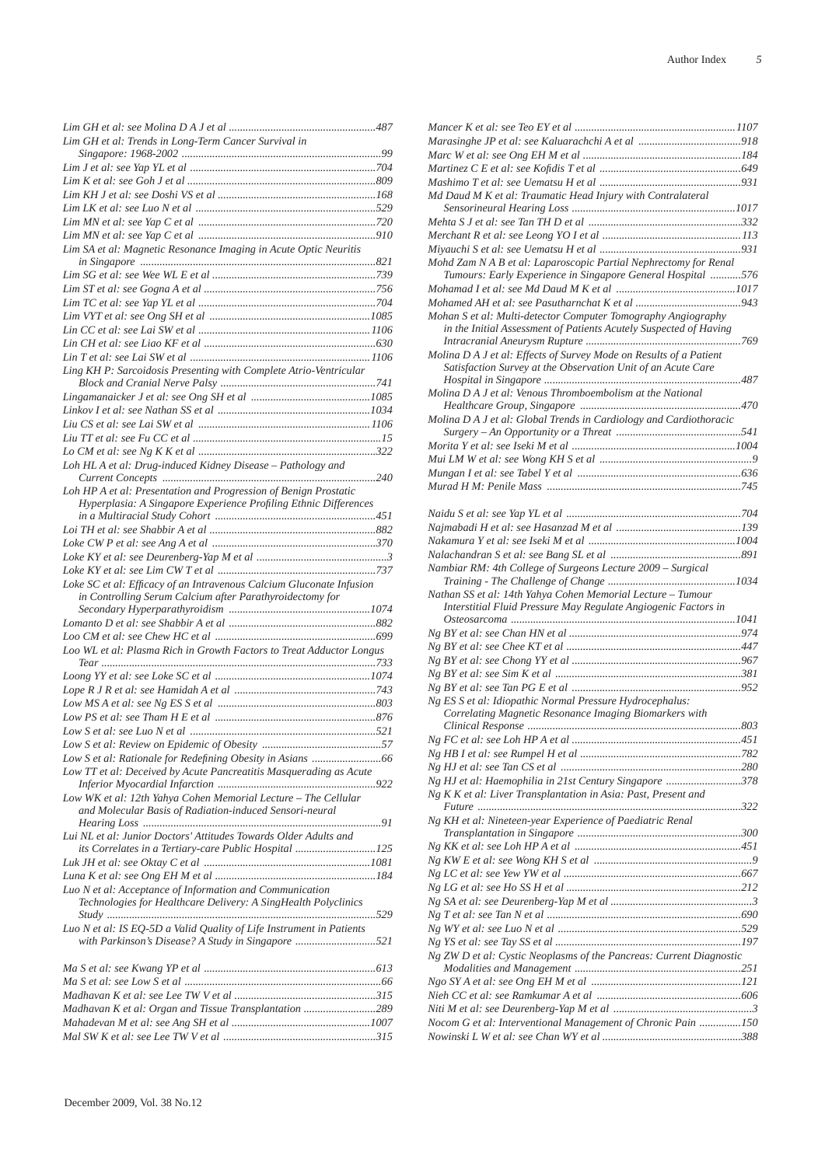| Lim GH et al: Trends in Long-Term Cancer Survival in                                                                       |
|----------------------------------------------------------------------------------------------------------------------------|
|                                                                                                                            |
|                                                                                                                            |
|                                                                                                                            |
|                                                                                                                            |
|                                                                                                                            |
|                                                                                                                            |
| Lim SA et al: Magnetic Resonance Imaging in Acute Optic Neuritis                                                           |
|                                                                                                                            |
|                                                                                                                            |
|                                                                                                                            |
|                                                                                                                            |
|                                                                                                                            |
|                                                                                                                            |
|                                                                                                                            |
|                                                                                                                            |
| Ling KH P: Sarcoidosis Presenting with Complete Atrio-Ventricular                                                          |
|                                                                                                                            |
|                                                                                                                            |
|                                                                                                                            |
|                                                                                                                            |
|                                                                                                                            |
|                                                                                                                            |
| Loh HL A et al: Drug-induced Kidney Disease - Pathology and                                                                |
|                                                                                                                            |
| Loh HP A et al: Presentation and Progression of Benign Prostatic                                                           |
| Hyperplasia: A Singapore Experience Profiling Ethnic Differences                                                           |
|                                                                                                                            |
|                                                                                                                            |
|                                                                                                                            |
|                                                                                                                            |
| Loke SC et al: Efficacy of an Intravenous Calcium Gluconate Infusion                                                       |
| in Controlling Serum Calcium after Parathyroidectomy for                                                                   |
|                                                                                                                            |
|                                                                                                                            |
|                                                                                                                            |
| Loo WL et al: Plasma Rich in Growth Factors to Treat Adductor Longus                                                       |
|                                                                                                                            |
|                                                                                                                            |
|                                                                                                                            |
|                                                                                                                            |
|                                                                                                                            |
|                                                                                                                            |
|                                                                                                                            |
|                                                                                                                            |
|                                                                                                                            |
| Low TT et al: Deceived by Acute Pancreatitis Masquerading as Acute                                                         |
|                                                                                                                            |
| Low WK et al: 12th Yahya Cohen Memorial Lecture - The Cellular                                                             |
| and Molecular Basis of Radiation-induced Sensori-neural                                                                    |
|                                                                                                                            |
| Lui NL et al: Junior Doctors' Attitudes Towards Older Adults and                                                           |
| its Correlates in a Tertiary-care Public Hospital 125                                                                      |
|                                                                                                                            |
|                                                                                                                            |
| Luo N et al: Acceptance of Information and Communication<br>Technologies for Healthcare Delivery: A SingHealth Polyclinics |
|                                                                                                                            |
| Luo N et al: IS EQ-5D a Valid Quality of Life Instrument in Patients<br>with Parkinson's Disease? A Study in Singapore 521 |
|                                                                                                                            |
|                                                                                                                            |
|                                                                                                                            |
| Madhavan K et al: Organ and Tissue Transplantation 289                                                                     |
|                                                                                                                            |

| Md Daud M K et al: Traumatic Head Injury with Contralateral                                                                   |  |
|-------------------------------------------------------------------------------------------------------------------------------|--|
|                                                                                                                               |  |
|                                                                                                                               |  |
|                                                                                                                               |  |
|                                                                                                                               |  |
| Mohd Zam N A B et al: Laparoscopic Partial Nephrectomy for Renal                                                              |  |
| Tumours: Early Experience in Singapore General Hospital 576                                                                   |  |
|                                                                                                                               |  |
| Mohan S et al: Multi-detector Computer Tomography Angiography                                                                 |  |
| in the Initial Assessment of Patients Acutely Suspected of Having                                                             |  |
|                                                                                                                               |  |
| Molina D A J et al: Effects of Survey Mode on Results of a Patient                                                            |  |
| Satisfaction Survey at the Observation Unit of an Acute Care                                                                  |  |
|                                                                                                                               |  |
| Molina D A J et al: Venous Thromboembolism at the National                                                                    |  |
| Molina D A J et al: Global Trends in Cardiology and Cardiothoracic                                                            |  |
|                                                                                                                               |  |
|                                                                                                                               |  |
|                                                                                                                               |  |
|                                                                                                                               |  |
|                                                                                                                               |  |
|                                                                                                                               |  |
|                                                                                                                               |  |
|                                                                                                                               |  |
|                                                                                                                               |  |
| Nambiar RM: 4th College of Surgeons Lecture 2009 - Surgical                                                                   |  |
|                                                                                                                               |  |
|                                                                                                                               |  |
|                                                                                                                               |  |
| Nathan SS et al: 14th Yahya Cohen Memorial Lecture - Tumour<br>Interstitial Fluid Pressure May Regulate Angiogenic Factors in |  |
|                                                                                                                               |  |
|                                                                                                                               |  |
|                                                                                                                               |  |
|                                                                                                                               |  |
|                                                                                                                               |  |
|                                                                                                                               |  |
| Ng ES S et al: Idiopathic Normal Pressure Hydrocephalus:                                                                      |  |
| Correlating Magnetic Resonance Imaging Biomarkers with                                                                        |  |
| 451                                                                                                                           |  |
|                                                                                                                               |  |
|                                                                                                                               |  |
| Ng HJ et al: Haemophilia in 21st Century Singapore 378                                                                        |  |
| Ng K K et al: Liver Transplantation in Asia: Past, Present and                                                                |  |
|                                                                                                                               |  |
| Ng KH et al: Nineteen-year Experience of Paediatric Renal                                                                     |  |
|                                                                                                                               |  |
|                                                                                                                               |  |
|                                                                                                                               |  |
|                                                                                                                               |  |
|                                                                                                                               |  |
|                                                                                                                               |  |
|                                                                                                                               |  |
|                                                                                                                               |  |
| Ng ZW D et al: Cystic Neoplasms of the Pancreas: Current Diagnostic                                                           |  |
|                                                                                                                               |  |
|                                                                                                                               |  |
|                                                                                                                               |  |
| Nocom G et al: Interventional Management of Chronic Pain 150                                                                  |  |
|                                                                                                                               |  |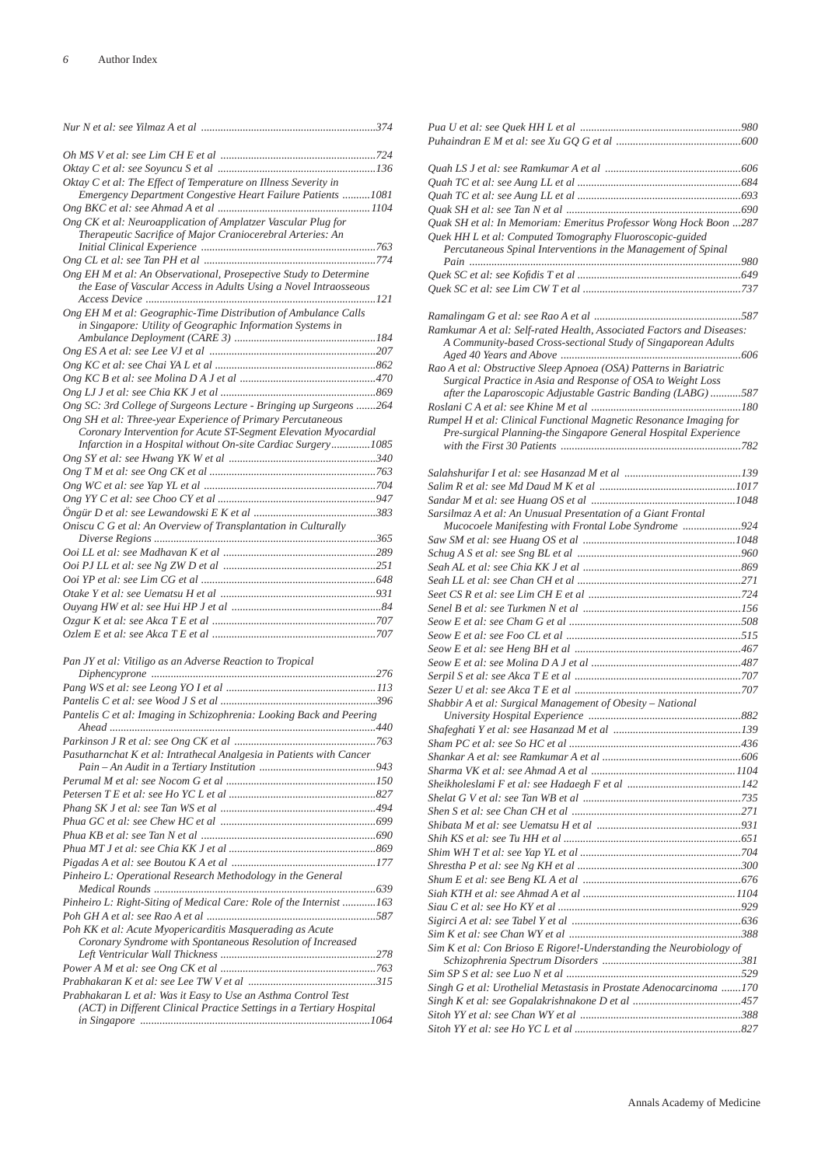| Oktay C et al: The Effect of Temperature on Illness Severity in    |  |
|--------------------------------------------------------------------|--|
| Emergency Department Congestive Heart Failure Patients  1081       |  |
|                                                                    |  |
| Ong CK et al: Neuroapplication of Amplatzer Vascular Plug for      |  |
| Therapeutic Sacrifice of Major Craniocerebral Arteries: An         |  |
|                                                                    |  |
|                                                                    |  |
| Ong EH M et al: An Observational, Prosepective Study to Determine  |  |
| the Ease of Vascular Access in Adults Using a Novel Intraosseous   |  |
|                                                                    |  |
| Ong EH M et al: Geographic-Time Distribution of Ambulance Calls    |  |
| in Singapore: Utility of Geographic Information Systems in         |  |
|                                                                    |  |
|                                                                    |  |
|                                                                    |  |
|                                                                    |  |
|                                                                    |  |
| Ong SC: 3rd College of Surgeons Lecture - Bringing up Surgeons 264 |  |
| Ong SH et al: Three-year Experience of Primary Percutaneous        |  |
| Coronary Intervention for Acute ST-Segment Elevation Myocardial    |  |
| Infarction in a Hospital without On-site Cardiac Surgery1085       |  |
|                                                                    |  |
|                                                                    |  |
|                                                                    |  |
|                                                                    |  |
|                                                                    |  |
| Oniscu C G et al: An Overview of Transplantation in Culturally     |  |
|                                                                    |  |
|                                                                    |  |
|                                                                    |  |
|                                                                    |  |
|                                                                    |  |
|                                                                    |  |
|                                                                    |  |
|                                                                    |  |

| Pantelis C et al: Imaging in Schizophrenia: Looking Back and Peering |  |
|----------------------------------------------------------------------|--|
|                                                                      |  |
|                                                                      |  |
| Pasutharnchat K et al: Intrathecal Analgesia in Patients with Cancer |  |
|                                                                      |  |
|                                                                      |  |
|                                                                      |  |
|                                                                      |  |
|                                                                      |  |
|                                                                      |  |
|                                                                      |  |
|                                                                      |  |
| Pinheiro L: Operational Research Methodology in the General          |  |
|                                                                      |  |
| Pinheiro L: Right-Siting of Medical Care: Role of the Internist 163  |  |
|                                                                      |  |
| Poh KK et al: Acute Myopericarditis Masquerading as Acute            |  |
| Coronary Syndrome with Spontaneous Resolution of Increased           |  |
|                                                                      |  |
|                                                                      |  |
|                                                                      |  |
| Prabhakaran L et al: Was it Easy to Use an Asthma Control Test       |  |
| (ACT) in Different Clinical Practice Settings in a Tertiary Hospital |  |
|                                                                      |  |

| Quak SH et al: In Memoriam: Emeritus Professor Wong Hock Boon 287                                                                 |  |
|-----------------------------------------------------------------------------------------------------------------------------------|--|
| Quek HH L et al: Computed Tomography Fluoroscopic-guided                                                                          |  |
| Percutaneous Spinal Interventions in the Management of Spinal                                                                     |  |
|                                                                                                                                   |  |
|                                                                                                                                   |  |
|                                                                                                                                   |  |
|                                                                                                                                   |  |
| Ramkumar A et al: Self-rated Health, Associated Factors and Diseases:                                                             |  |
| A Community-based Cross-sectional Study of Singaporean Adults                                                                     |  |
|                                                                                                                                   |  |
| Rao A et al: Obstructive Sleep Apnoea (OSA) Patterns in Bariatric<br>Surgical Practice in Asia and Response of OSA to Weight Loss |  |
| after the Laparoscopic Adjustable Gastric Banding (LABG)587                                                                       |  |
|                                                                                                                                   |  |
| Rumpel H et al: Clinical Functional Magnetic Resonance Imaging for                                                                |  |
| Pre-surgical Planning-the Singapore General Hospital Experience                                                                   |  |
|                                                                                                                                   |  |
|                                                                                                                                   |  |
|                                                                                                                                   |  |
|                                                                                                                                   |  |
|                                                                                                                                   |  |
| Sarsilmaz A et al: An Unusual Presentation of a Giant Frontal                                                                     |  |
| Mucocoele Manifesting with Frontal Lobe Syndrome 924                                                                              |  |
|                                                                                                                                   |  |
|                                                                                                                                   |  |
|                                                                                                                                   |  |
|                                                                                                                                   |  |
|                                                                                                                                   |  |
|                                                                                                                                   |  |
|                                                                                                                                   |  |
|                                                                                                                                   |  |
|                                                                                                                                   |  |
|                                                                                                                                   |  |
|                                                                                                                                   |  |
| Shabbir A et al: Surgical Management of Obesity - National                                                                        |  |
|                                                                                                                                   |  |
|                                                                                                                                   |  |
|                                                                                                                                   |  |
|                                                                                                                                   |  |
|                                                                                                                                   |  |
|                                                                                                                                   |  |
|                                                                                                                                   |  |
|                                                                                                                                   |  |
|                                                                                                                                   |  |
|                                                                                                                                   |  |
|                                                                                                                                   |  |
|                                                                                                                                   |  |
|                                                                                                                                   |  |
|                                                                                                                                   |  |
|                                                                                                                                   |  |
|                                                                                                                                   |  |
| Sim K et al: Con Brioso E Rigore!-Understanding the Neurobiology of                                                               |  |
|                                                                                                                                   |  |
|                                                                                                                                   |  |
| Singh G et al: Urothelial Metastasis in Prostate Adenocarcinoma 170                                                               |  |
|                                                                                                                                   |  |
|                                                                                                                                   |  |
|                                                                                                                                   |  |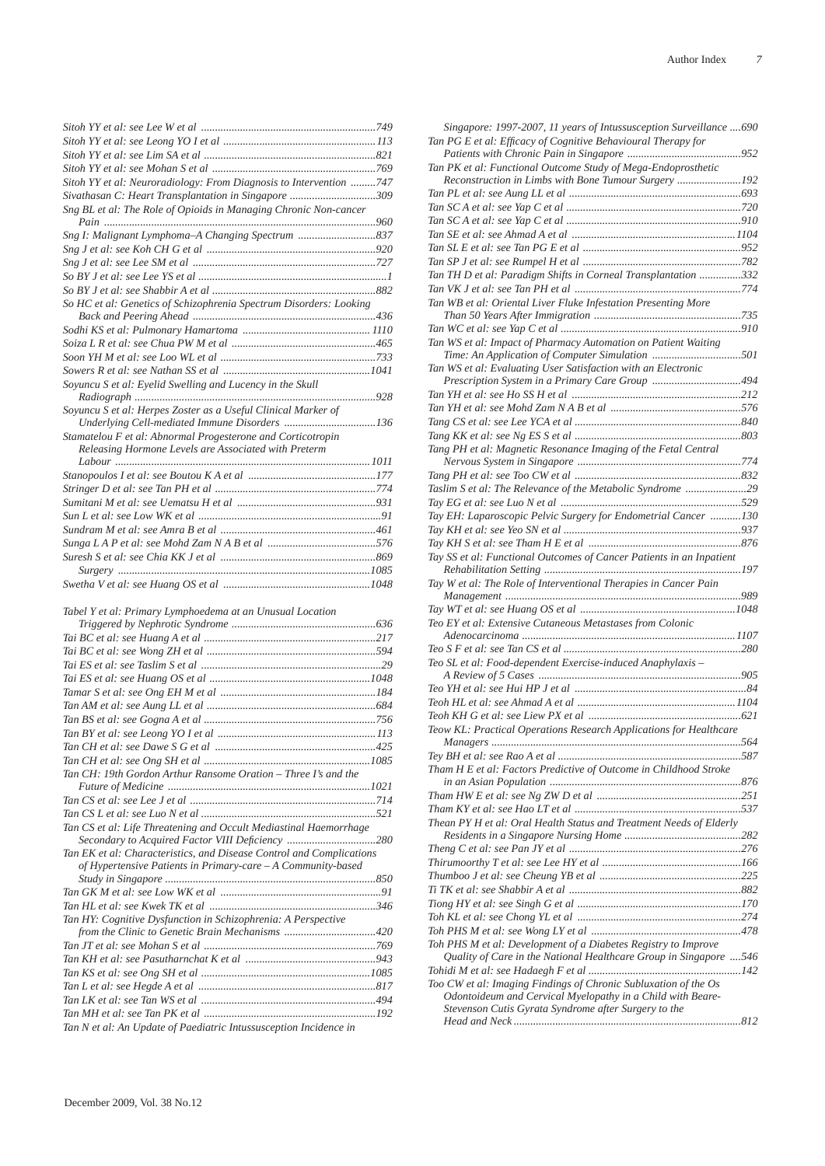| Sitoh YY et al: Neuroradiology: From Diagnosis to Intervention 747 |  |
|--------------------------------------------------------------------|--|
| Sivathasan C: Heart Transplantation in Singapore 309               |  |
| Sng BL et al: The Role of Opioids in Managing Chronic Non-cancer   |  |
|                                                                    |  |
|                                                                    |  |
|                                                                    |  |
|                                                                    |  |
|                                                                    |  |
|                                                                    |  |
| So HC et al: Genetics of Schizophrenia Spectrum Disorders: Looking |  |
|                                                                    |  |
|                                                                    |  |
|                                                                    |  |
|                                                                    |  |
|                                                                    |  |
| Soyuncu S et al: Eyelid Swelling and Lucency in the Skull          |  |
|                                                                    |  |
| Soyuncu S et al: Herpes Zoster as a Useful Clinical Marker of      |  |
| Underlying Cell-mediated Immune Disorders 136                      |  |
| Stamatelou F et al: Abnormal Progesterone and Corticotropin        |  |
| Releasing Hormone Levels are Associated with Preterm               |  |
|                                                                    |  |
|                                                                    |  |
|                                                                    |  |
|                                                                    |  |
|                                                                    |  |
|                                                                    |  |
|                                                                    |  |
|                                                                    |  |
|                                                                    |  |
|                                                                    |  |
|                                                                    |  |

*Tabel Y et al: Primary Lymphoedema at an Unusual Location* 

| Tan CH: 19th Gordon Arthur Ransome Oration - Three I's and the       |
|----------------------------------------------------------------------|
|                                                                      |
|                                                                      |
|                                                                      |
| Tan CS et al: Life Threatening and Occult Mediastinal Haemorrhage    |
| Secondary to Acquired Factor VIII Deficiency 280                     |
| Tan EK et al: Characteristics, and Disease Control and Complications |
| of Hypertensive Patients in Primary-care - A Community-based         |
|                                                                      |
|                                                                      |
|                                                                      |
|                                                                      |
| Tan HY: Cognitive Dysfunction in Schizophrenia: A Perspective        |
|                                                                      |
|                                                                      |
|                                                                      |
|                                                                      |
|                                                                      |
|                                                                      |
|                                                                      |

| Singapore: 1997-2007, 11 years of Intussusception Surveillance  690<br>Tan PG E et al: Efficacy of Cognitive Behavioural Therapy for |  |
|--------------------------------------------------------------------------------------------------------------------------------------|--|
| Tan PK et al: Functional Outcome Study of Mega-Endoprosthetic                                                                        |  |
| Reconstruction in Limbs with Bone Tumour Surgery 192                                                                                 |  |
|                                                                                                                                      |  |
|                                                                                                                                      |  |
|                                                                                                                                      |  |
|                                                                                                                                      |  |
|                                                                                                                                      |  |
| Tan TH D et al: Paradigm Shifts in Corneal Transplantation 332                                                                       |  |
| Tan WB et al: Oriental Liver Fluke Infestation Presenting More                                                                       |  |
|                                                                                                                                      |  |
| Tan WS et al: Impact of Pharmacy Automation on Patient Waiting                                                                       |  |
|                                                                                                                                      |  |
| Tan WS et al: Evaluating User Satisfaction with an Electronic                                                                        |  |
| Prescription System in a Primary Care Group 494                                                                                      |  |
|                                                                                                                                      |  |
|                                                                                                                                      |  |
|                                                                                                                                      |  |
| Tang PH et al: Magnetic Resonance Imaging of the Fetal Central                                                                       |  |
|                                                                                                                                      |  |
|                                                                                                                                      |  |
| Taslim S et al: The Relevance of the Metabolic Syndrome 29                                                                           |  |
|                                                                                                                                      |  |
| Tay EH: Laparoscopic Pelvic Surgery for Endometrial Cancer 130                                                                       |  |
|                                                                                                                                      |  |
| Tay SS et al: Functional Outcomes of Cancer Patients in an Inpatient                                                                 |  |
|                                                                                                                                      |  |
| Tay W et al: The Role of Interventional Therapies in Cancer Pain                                                                     |  |
|                                                                                                                                      |  |
| Teo EY et al: Extensive Cutaneous Metastases from Colonic                                                                            |  |
|                                                                                                                                      |  |
|                                                                                                                                      |  |
| Teo SL et al: Food-dependent Exercise-induced Anaphylaxis -                                                                          |  |
|                                                                                                                                      |  |
|                                                                                                                                      |  |
|                                                                                                                                      |  |
| Teow KL: Practical Operations Research Applications for Healthcare                                                                   |  |
|                                                                                                                                      |  |
|                                                                                                                                      |  |
| Tham H E et al: Factors Predictive of Outcome in Childhood Stroke                                                                    |  |
|                                                                                                                                      |  |
|                                                                                                                                      |  |
| Thean PY H et al: Oral Health Status and Treatment Needs of Elderly                                                                  |  |
|                                                                                                                                      |  |
|                                                                                                                                      |  |
|                                                                                                                                      |  |
|                                                                                                                                      |  |
|                                                                                                                                      |  |
|                                                                                                                                      |  |
|                                                                                                                                      |  |
| Toh PHS M et al: Development of a Diabetes Registry to Improve                                                                       |  |
| Quality of Care in the National Healthcare Group in Singapore 546                                                                    |  |
|                                                                                                                                      |  |
| Too CW et al: Imaging Findings of Chronic Subluxation of the Os                                                                      |  |
| Odontoideum and Cervical Myelopathy in a Child with Beare-<br>Stevenson Cutis Gyrata Syndrome after Surgery to the                   |  |
|                                                                                                                                      |  |
|                                                                                                                                      |  |